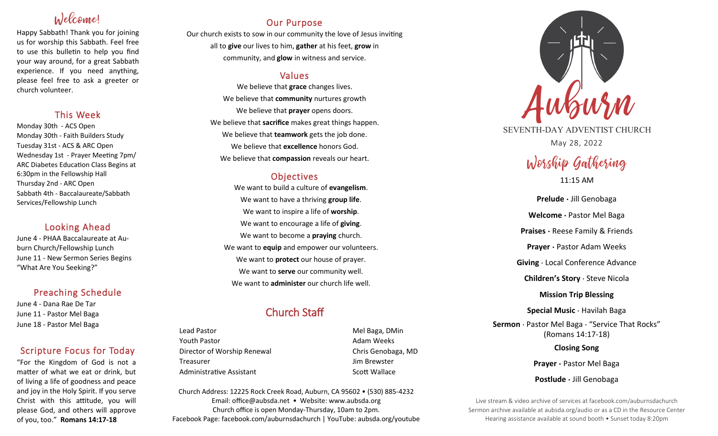# Inlecconnel

Happy Sabbath! Thank you for joining us for worship this Sabbath. Feel free to use this bulletin to help you find your way around, for a great Sabbath experience. If you need anything, please feel free to ask a greeter or church volunteer.

## This Week

Monday 30th - ACS Open Monday 30th - Faith Builders Study Tuesday 31st - ACS & ARC Open Wednesday 1st - Prayer Meeting 7pm/ ARC Diabetes Education Class Begins at 6:30pm in the Fellowship Hall Thursday 2nd - ARC Open Sabbath 4th - Baccalaureate/Sabbath Services/Fellowship Lunch

# Looking Ahead

June 4 - PHAA Baccalaureate at Auburn Church/Fellowship Lunch June 11 - New Sermon Series Begins "What Are You Seeking?"

# Preaching Schedule

June 4 - Dana Rae De Tar June 11 - Pastor Mel Baga June 18 - Pastor Mel Baga

# Scripture Focus for Today

"For the Kingdom of God is not a matter of what we eat or drink, but of living a life of goodness and peace and joy in the Holy Spirit. If you serve Christ with this attitude, you will please God, and others will approve of you, too." **Romans 14:17-18**

# Our Purpose

Our church exists to sow in our community the love of Jesus inviting all to **give** our lives to him, **gather** at his feet, **grow** in community, and **glow** in witness and service.

## Values

We believe that **grace** changes lives. We believe that **community** nurtures growth We believe that **prayer** opens doors. We believe that **sacrifice** makes great things happen. We believe that **teamwork** gets the job done. We believe that **excellence** honors God. We believe that **compassion** reveals our heart.

# **Objectives**

We want to build a culture of **evangelism**. We want to have a thriving **group life**. We want to inspire a life of **worship**. We want to encourage a life of **giving**. We want to become a **praying** church. We want to **equip** and empower our volunteers. We want to **protect** our house of prayer. We want to **serve** our community well. We want to **administer** our church life well.

# Church Staff

Lead Pastor **Mel Baga, DMin** Youth Pastor **Adam Weeks Adam Weeks** Director of Worship Renewal **Chris Genobaga**, MD Treasurer Jim Brewster Administrative Assistant **Scott Wallace** Scott Wallace

Church Address: 12225 Rock Creek Road, Auburn, CA 95602 • (530) 885-4232 Email: office@aubsda.net • Website: www.aubsda.org Church office is open Monday-Thursday, 10am to 2pm. Facebook Page: facebook.com/auburnsdachurch | YouTube: aubsda.org/youtube



SEVENTH-DAY ADVENTIST CHURCH May 28, 2022

# Worship Gathering

11:15 AM

**Prelude ·** Jill Genobaga **Welcome ·** Pastor Mel Baga **Praises ·** Reese Family & Friends **Prayer ·** Pastor Adam Weeks **Giving** · Local Conference Advance **Children's Story** · Steve Nicola **Mission Trip Blessing Special Music** · Havilah Baga **Sermon** · Pastor Mel Baga · "Service That Rocks" (Romans 14:17-18) **Closing Song Prayer ·** Pastor Mel Baga **Postlude ·** Jill Genobaga

Live stream & video archive of services at facebook.com/auburnsdachurch Sermon archive available at aubsda.org/audio or as a CD in the Resource Center Hearing assistance available at sound booth • Sunset today 8:20pm